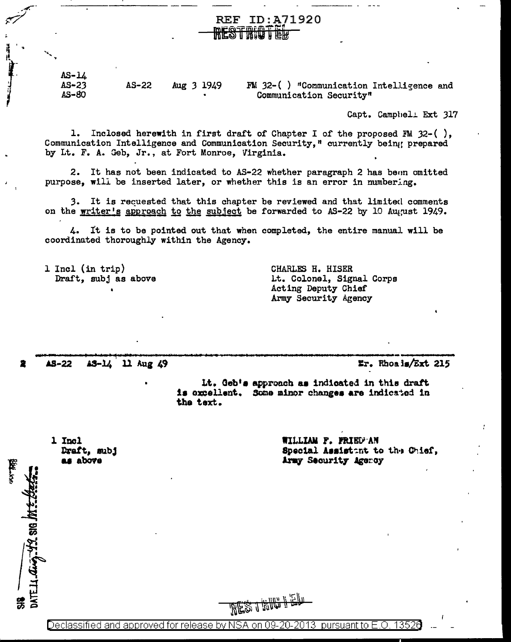$AS - LL$  $AS - 23$  $AS-22$ Aug 3 1949 FM 32-() "Communication Intelligence and  $AS-80$ Communication Security"

**IRESTRUGTER** 

**REF ID:A71920** 

Capt. Campbel Ext 317

Inclosed herewith in first draft of Chapter I of the proposed FM  $32-()$ , 1. Communication Intelligence and Communication Security," currently being prepared by Lt. F. A. Geb, Jr., at Fort Monroe, Virginia.

2. It has not been indicated to AS-22 whether paragraph 2 has been omitted purpose, will be inserted later, or whether this is an error in numbering.

3. It is recuested that this chapter be reviewed and that limited comments on the writer's approach to the subject be forwarded to AS-22 by 10 August 1949.

4. It is to be pointed out that when completed, the entire manual will be coordinated thoroughly within the Agency.

1 Incl (in trip) Draft, subj as above CHARLES H. HISER Lt. Colonel, Signal Corps Acting Deputy Chief Army Security Agency

**AS-22** AS-14 11 Aug 49 Er. Rhoais/Ext 215

Lt. Geb's approach as indicated in this draft is expellent. Some minor changes are indicated in the text.

1 Incl Draft, subj as above

DATE 14 aug. 12. SIG M. E. LEEE

WILLIAM F. FRIED AN Special Assistant to the Chief, Army Security Agency

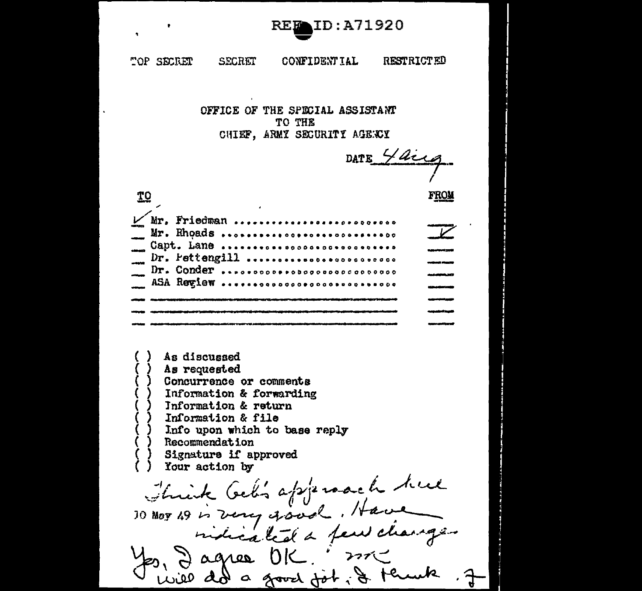

TOP SECRET **SECRET CONFIDENTIAL RESTRICTED** 

> OFFICE OF THE SPECIAL ASSISTANT TO THE CHIEF, ARMY SECURITY AGENCY

DATE 4 Use

**TO FROM** / Mr. Friedman .............................  $\overline{\mathscr{V}}$ Mr. Rhoads ............................... Capt. Lane ................................ a<br>Matanasara Dr. Pettengill .......................... an<br>Maria Maria Dr. Conder.................................. ASA Review ................................ --

As discussed As requested Concurrence or comments Information & forwarding Information & return Information & file

Info upon which to base reply

Recommendation

Signature if approved

Your action by

Think Geb's approach hue<br>10 May 19 is very good. Have

will do a good job, & think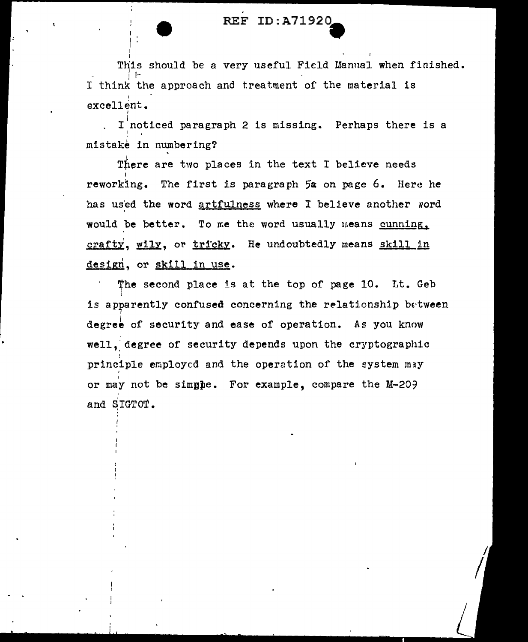I  $\mathbf{I}^{\pm}$  :

This should be a very useful Field Manual when finished. ! t·- <sup>1</sup> I think the approach and treatment of the material is I excellent.

I noticed paragraph 2 is missing. Perhaps there is a mistake in numbering?

There are two places in the text I believe needs I reworking. The first is paragraph 5a on page 6. Here he has us'ed the word artfulness where I believe another word would be better. To me the word usually means cunning. crafty, wily, or tricky. He undoubtedly means skill in design, or skill in use.

The second place is at the top of page 10. Lt. Geb is apparently confused concerning the relationship between degree of security and ease of operation. As you know well, degree of security depends upon the cryptographic principle employed and the operation of the system may I or may not be simgpe. For example, compare the M-209 and SIGTOT.

 $\sqrt{2}$ 

•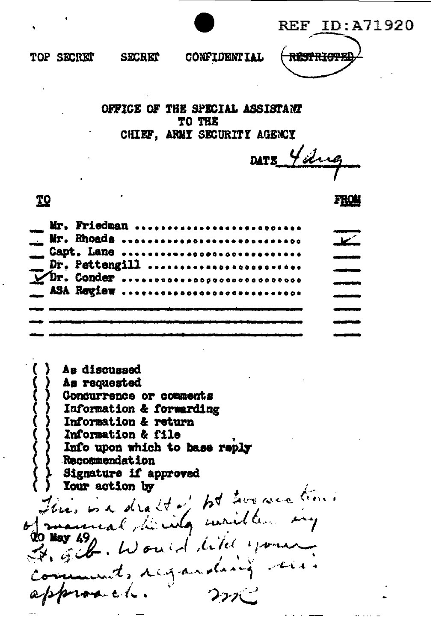ID:A71920 **REF** 

FROI



TOP SECRET

**SECRET** 

**CONFIDENTIAL** 

RESTRICT

OFFICE OF THE SPECIAL ASSISTANT TO THE CHIEF, ARMY SECURITY AGENCY

DATE Yelve

**TO** 

Mr. Friedman ...........................  $\overline{\mathbf{r}}$ Mr. Rhoads .............................. Capt. Lane ............................... Dr. Pettengill ........................ UDr. Conder ............................... ASA Regiew ..............................

As discussed As requested Condurrence or comments Information & forwarding Information & return Information & file Info upon which to base reply **Recormendation** Signature if approved This is a draft of tot two western! Your action by Frank. Would like your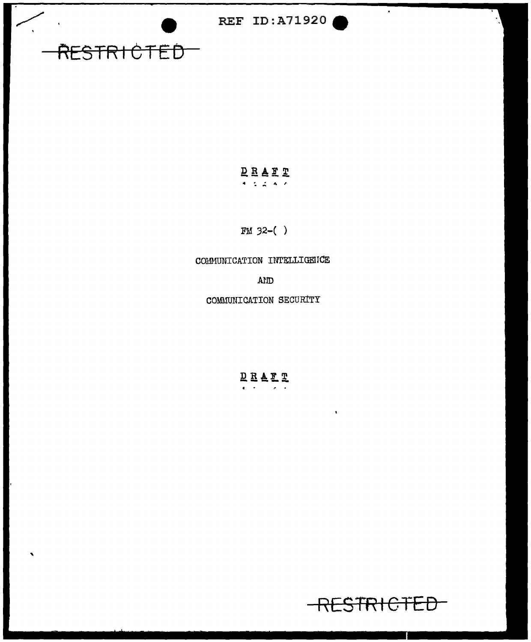$\bullet$ 

# RESTRICTED

#### DEAET  $4.42.4.6$

 $FM 32-( )$ 

COMMUNICATION INTELLIGENCE

AND

COMMUNICATION SECURITY

DRALT  $\mathbf{z} = \mathbf{z}^T \mathbf{z} = \mathbf{z}^T \mathbf{z}$ 

 $\blacksquare$ 

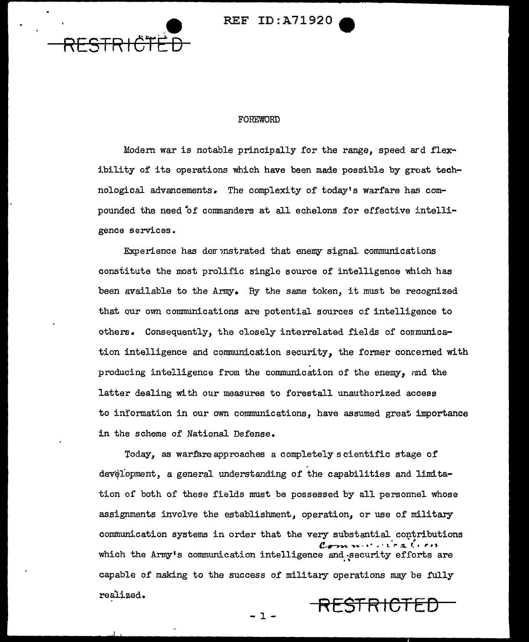



#### FOREWORD

Modern war is notable principally for the range, speed ard flexibility of its operations which have been made possible by great technological advancements. The complexity of today's warfare has compounded the need of commanders at all echelons for effective intelligence services.

Experience has der unstrated that enemy signal communications constitute the most prolific single source of intelligence which has been available to the Army. By the same token, it must be recognized that our own communications are potential sources of intelligence to Consequently, the closely interrelated fields of communicaothers. tion intelligence and communication security, the former concerned with producing intelligence from the communication of the enemy, and the latter dealing with our measures to forestall unauthorized access to information in our own communications, have assumed great importance in the scheme of National Defense.

Today, as warfare approaches a completely scientific stage of development, a general understanding of the capabilities and limitation of both of these fields must be possessed by all personnel whose assignments involve the establishment, operation, or use of military communication systems in order that the very substantial contributions which the Army's communication intelligence and security efforts are capable of making to the success of military operations may be fully realized. RESTRICTED

п.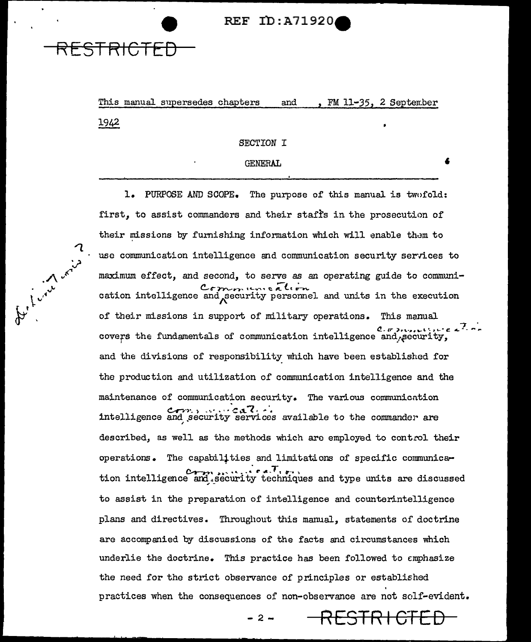This manual supersedes chapters and FM 11-35. 2 September 1942

STRICTEE

ft Live or

#### SECTION I

#### **GENERAL**

ı. PURPOSE AND SCOPE. The purpose of this manual is twofold: first, to assist commanders and their staffs in the prosecution of their missions by furnishing information which will enable them to use communication intelligence and communication security services to maximum effect, and second, to serve as an operating guide to communication intelligence and security personnel and units in the execution of their missions in support of military operations. This manual covers the fundamentals of communication intelligence and accurity, and the divisions of responsibility which have been established for the production and utilization of communication intelligence and the maintenance of communication security. The various communication intelligence and security services available to the commander are described, as well as the methods which are employed to control their operations. The capabilities and limitations of specific communication intelligence and security techniques and type units are discussed to assist in the preparation of intelligence and counterintelligence plans and directives. Throughout this manual, statements of doctrine are accompanied by discussions of the facts and circumstances which underlie the doctrine. This practice has been followed to emphasize the need for the strict observance of principles or established practices when the consequences of non-observance are not solf-evident.

<del>RESTRICI</del>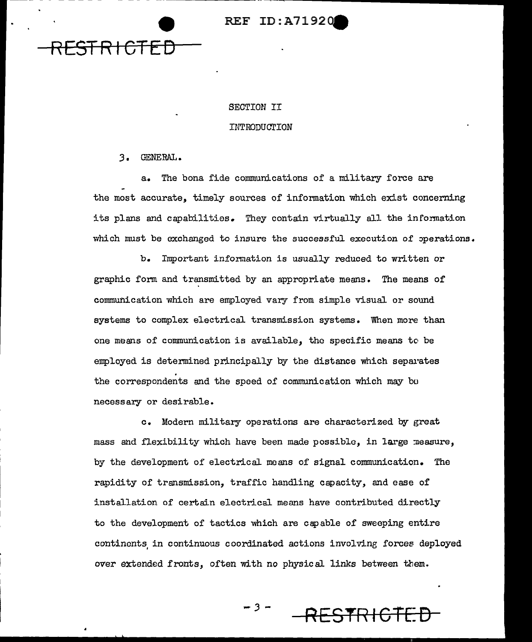

#### SECTION II

#### INTRODUCTION

J. GENERAL.

a. The bona fide communications of a military force are the most accurate, timely sources of information which exist concerning its plans and capabilities. They contain virtually all the information which must be exchanged to insure the successful execution of perations.

b. Important information is usually reduced to written or graphic form and transmitted by an appropriate means. The means of communication which are employed vary from simple visual or sound systems to complex electrical transmission systems. When more than one means of communication is available, the specific means tc be employed is determined principally by the distance which separates the correspondents and the speed of communication which may bo necessary or desirable.

c. Modern military operations are characterized by great mass and flexibility which have been made possible, in large measure, by the development of electrical moans of signal communication. The rapidity of transmission, traffic handling capacity, and ease of installation of certain electrical means have contributed directly to the development of tactics which are capable of sweeping entire continents in continuous coordinated actions involving forces deployed over extended fronts, often with no physical links between them.

*-3-* **RESTR I GTE: D**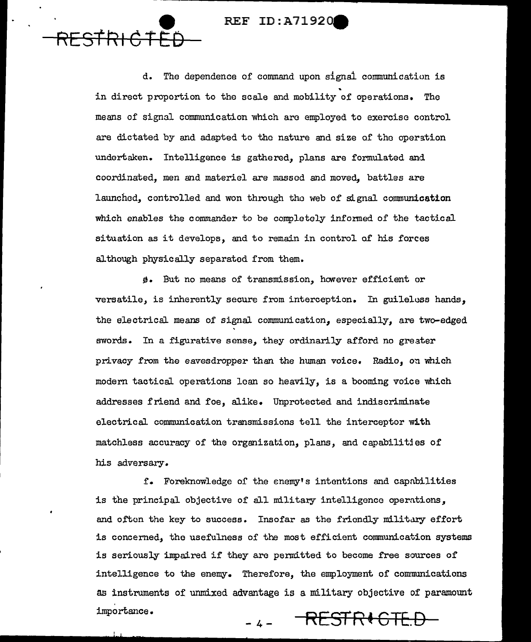**e** 

RES1~1 **CTED** 

d. The dependence of command upon signal communication is in direct proportion to the scale and mobility of operations. The means of signal communication which arc employed to exercise control are dictated by and adapted to the nature and size of the operation undertaken. Intelligence is gathered, plans are formulated and coordinated, men and materiel are massed and moved, battles are launched, controlled and won through the web of signal communication which enables the commander to be completely informed of the tactical situation as it develops, and to remain in control of his forces although physically separated from them.

 $\theta$ . But no means of transmission, however efficient or versatile, is inherently secure from interception. In guileloss hands, the electrical means of signal communication, especially, are two-edged swords. In a figurative sense, they ordinarily afford no greater privacy from the eavesdropper than the human voice. Radio, on which modern tactical operations lean so heavily, is a booming voice which addresses friend and foe, alike. Unprotected and indiscriminate electrical communication transmissions tell the interceptor with matchless accuracy of the organization, plans, and capabilitjes of his adversary.

f. Foreknowledge of the enemy's intentions and capabilities is the principal objective of all military intelligence operntions, and often the key to success. Insofar as the friendly military effort is concerned, the usefulness of the most efficient communication systems is seriously impaired if they arc permitted to become free sources of intelligence to the enemy. Therefore, the employment of comnunications as instruments of unmixed advantage is a military objective of paramount importance. -4- **RESTRt GTE.D**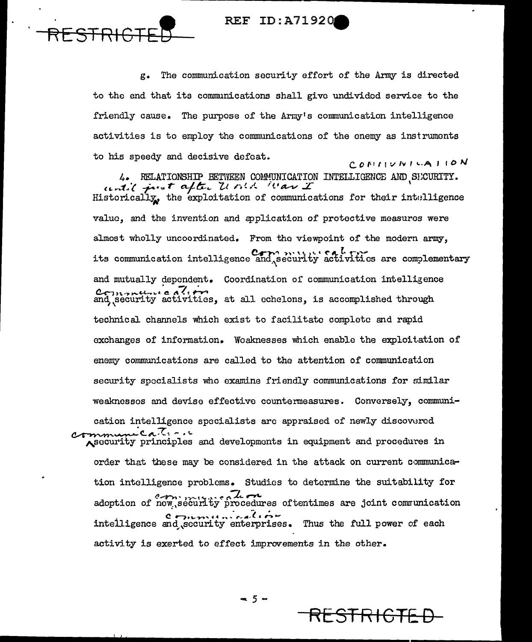STRIG

The communication security effort of the Army is directed g. to the end that its communications shall give undivided service to the friendly cause. The purpose of the Army's communication intelligence activities is to employ the communications of the enemy as instruments to his speedy and decisive defeat. CONINUMICATION

4. RELATIONSHIP BETWEEN COMMUNICATION INTELLIGENCE AND SICURITY.<br> $\mu \rightarrow i$   $\mu \rightarrow \tau$  after Z(all iterations for their intelligence<br>Historically, the exploitation of communications for their intelligence value, and the invention and application of protective measures were almost wholly uncoordinated. From the viewpoint of the modern army, its communication intelligence and security activities are complementary and mutually dependent. Coordination of communication intelligence Comments all echelons, is accomplished through and security activities, at all echelons, is accomplished through technical channels which exist to facilitate complete and rapid exchanges of information. Weaknesses which enable the exploitation of enemy communications are called to the attention of communication security specialists who examine friendly communications for similar weaknesses and devise effective countermeasures. Conversely, communication intelligence specialists are appraised of newly discovered Leater. security principles and developments in equipment and procedures in order that these may be considered in the attack on current communication intelligence problems. Studies to determine the suitability for adoption of new security procedures oftentimes are joint communication intelligence and security enterprises. Thus the full power of each activity is exerted to effect improvements in the other.

 $-5 -$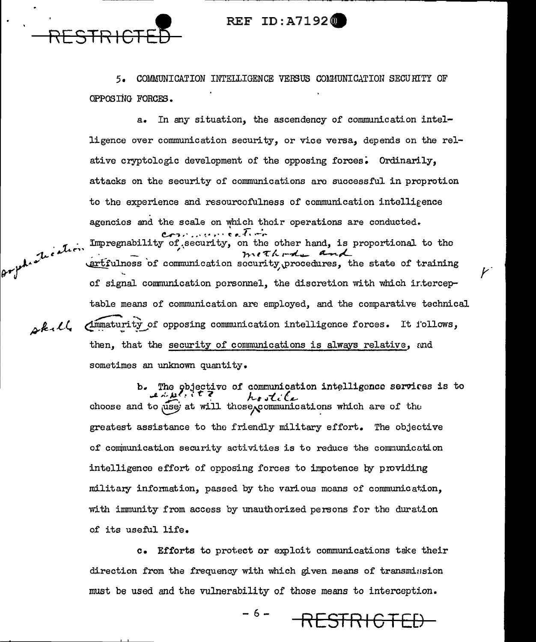

 $2k+l$ 

### **REF ID:A71920**

5. COMMUNICATION INTELLIGENCE VERSUS COMMUNICATION SECURITY OF OPPOSING FORCES.

In any situation, the ascendency of communication intel $a_{\bullet}$ ligence over communication security, or vice versa, depends on the relative cryptologic development of the opposing forces. Ordinarily, attacks on the security of communications are successful in proprotion to the experience and resourcefulness of communication intelligence agencies and the scale on which their operations are conducted. المؤسس والأريم المستواد والمرارين orphatication Impregnability of security, on the other hand, is proportional to the methods and extfulness of communication security procedures, the state of training of signal communication personnel, the discretion with which interceptable means of communication are employed, and the comparative technical Ammaturity of opposing communication intelligence forces. It follows, then, that the security of communications is always relative, and sometimes an unknown quantity.

> The objective of communication intelligence services is to choose and to use at will those communications which are of the greatest assistance to the friendly military effort. The objective of communication security activities is to reduce the communication intelligence effort of opposing forces to impotence by providing military information, passed by the various means of communication, with immunity from access by unauthorized persons for the duration of its useful life.

c. Efforts to protect or exploit communications take their direction from the frequency with which given means of transmission must be used and the vulnerability of those means to interception.

> $-6-$ <del>-STR 1</del>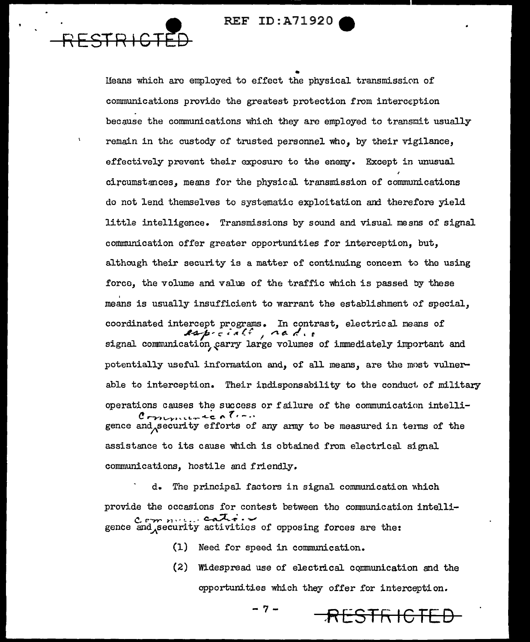Means which are employed to effect the physical transmission of communications provide the greatest protection from interception because the communications which they are employed to transmit usually remain in the custody of trusted personnel who, by their vigilance, effectively prevent their exposure to the enemy. Except in unusual circumstances, means for the physical transmission of communications do not lend themselves to systematic exploitation and therefore yield little intelligence. Transmissions by sound and visual means of signal communication offer greater opportunities for interception, but, although their security is a matter of continuing concern to the using force, the volume and value of the traffic which is passed by these means is usually insufficient to warrant the establishment of special. coordinated intercept programs. In contrast, electrical means of especially nadie signal communication carry large volumes of immediately important and potentially useful information and, of all means, are the most vulnerable to interception. Their indispensability to the conduct of military operations causes the success or failure of the communication intelli- $Corm$ gence and security efforts of any army to be measured in terms of the assistance to its cause which is obtained from electrical signal communications, hostile and friendly.

d. The principal factors in signal communication which provide the occasions for contest between the communication intellic  $\overline{c}$  and  $\overline{c}$  and  $\overline{c}$  and  $\overline{c}$  activities of opposing forces are the:

(1) Need for speed in communication.

(2) Widespread use of electrical communication and the opportunities which they offer for interception.

<del>STRICTED</del>

- 7 -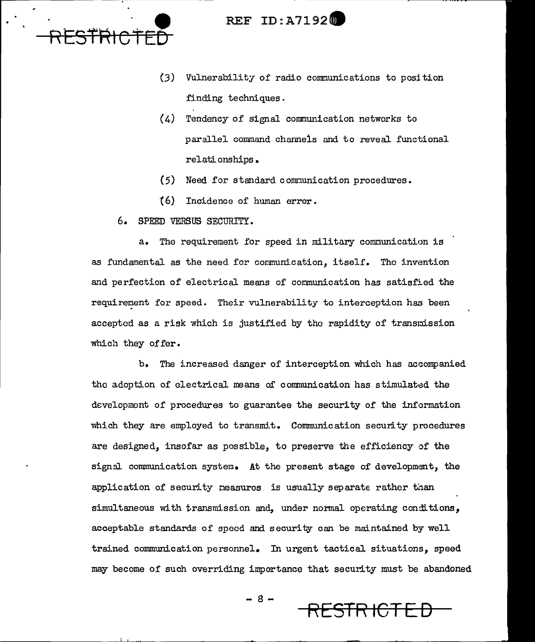

- (3) Vulnerability of radio communications to position finding techniques.
- (4) Tendency of signal communication networks to parallel command channels and to reveal functional relationships •
- (5) Need for standard communication procedures.
- t6) Incidence of human error.
- 6. SPEED VERSUS SECURITY.

a. The requirement for speed in military communication is as fundamental as the need for communication, itself. The invention and perfection of electrical means of communication has satisfied the requirement for speed. Their vulnerability to interception has been accepted as a risk which is justified by the rapidity of transmission which they of fer.

b. The increased danger of interception which has accompanied the adoption of electrical means of communication has stimulated the developmont of procedures to guarantee the security of the information which they are employed to transmit. Communication security procedures are designed, insofar as possible, to preserve the efficiency of the signal communication system. At the present stage of development, the application of security measures is usually separate rather than simultaneous with transmission and, under normal operating conditions, acceptable standards of speed and security can be maintained by well trained communication personnel. In urgent tactical situations, speed may become of such overriding importance that security must be abandoned

- 8 - **RESTRICTED**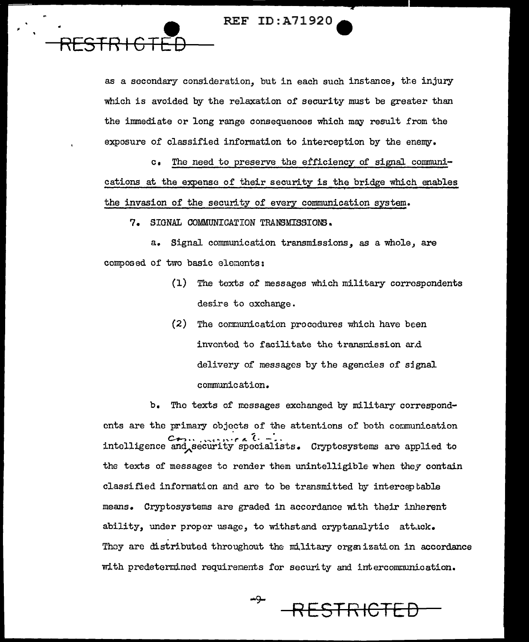as a secondary consideration, but in each such instance, the injury which is avoided by the relaxation of security must be greater than the immediate or long range consequences which may result from the exposure of classified information to interception by the enemy.

The need to preserve the efficiency of signal communi- $\mathbf{c}_{\bullet}$ cations at the expense of their security is the bridge which enables the invasion of the security of every communication system.

7. SIGNAL COMMUNICATION TRANSMISSIONS.

a. Signal communication transmissions, as a whole, are composed of two basic elements:

- (1) The texts of messages which military correspondents desire to exchange.
- (2) The communication procedures which have been invented to facilitate the transmission and delivery of messages by the agencies of signal communication.

b. The texts of messages exchanged by military correspondents are the primary objects of the attentions of both communication intelligence and security specialists. Cryptosystems are applied to the texts of messages to render them unintelligible when they contain classified information and are to be transmitted by interceptable means. Cryptosystems are graded in accordance with their inherent ability, under proper usage, to withstand cryptanalytic attack. They are distributed throughout the military organization in accordance with predetermined requirements for security and intercommunication.

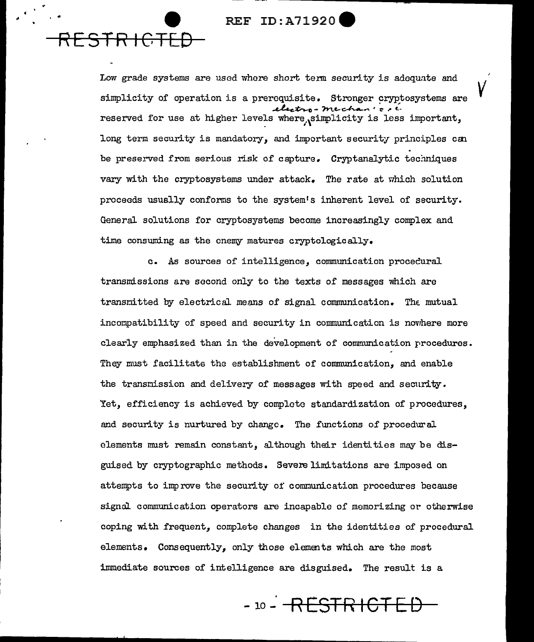.. **e** 

**RESTR IGTE:D** 

Low grade systems are used whore short term security is adequate and simplicity of operation is a prerequisite. Stronger cryptosystems are ~~o-?n~c-/ **..........** ~·~~; reserved for use at higher levels where, simplicity is less important, long term security is mandatory, and important security principles can be preserved from serious risk of capture. Cryptanalytic techniques vary with the cryptosystems under attack. The rate at which solution proceeds usually conforms to the system's inherent level of security. General solutions for cryptosystems become increasingly complex and time consuming as the enemy matures cryptologically.

*v* 

c. As sources of intelligence, communication procecural transmissions are second only to the texts of messages which are  $transmitted by electrical means of signal communication. The mutual$ incompatibility of speed and security in communication is novrhere more clearly emphasized than in the development of communication procedures. They must facilitate the establishment of communication, and enable the transmission and delivery of messages with speed and security. Yet, efficiency is achieved by complete standardization of procedures, and security is nurtured by change. The functions of procedural elements must remain constant, although their identities may be disguised by cryptographic methods. Severe limitations are imposed on attempts to improve the security of communication procedures because signal communication operators are incapable of memorizing or otherwise coping with frequent, complete changes in the identities of procedural elements. Consequently, only those elements which are the most immediate sources of intelligence are disguised. The result is a

io- **RESTR I GT El)**